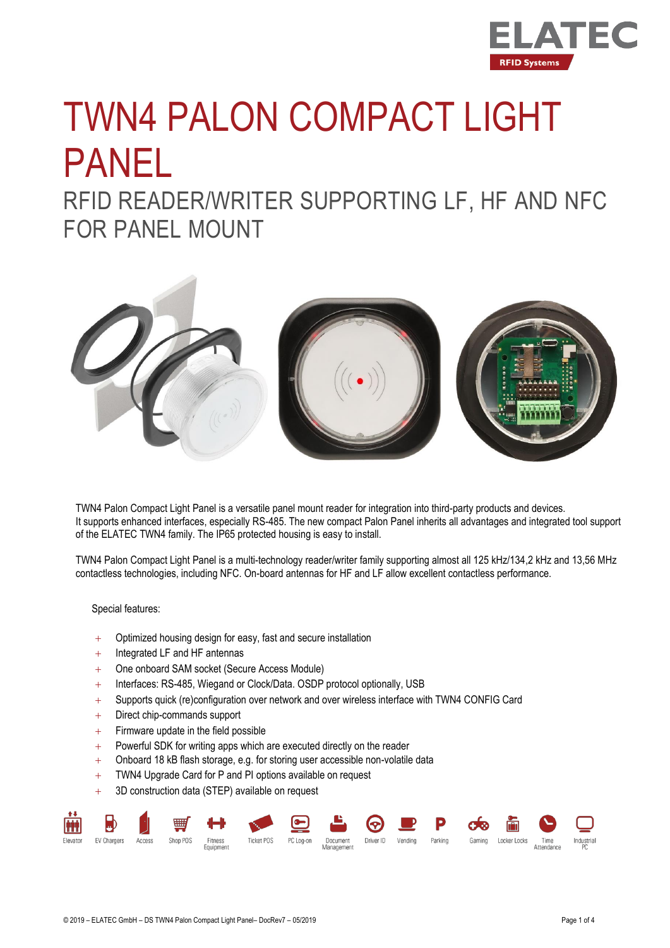

## TWN4 PALON COMPACT LIGHT PANEL

RFID READER/WRITER SUPPORTING LF, HF AND NFC FOR PANEL MOUNT



TWN4 Palon Compact Light Panel is a versatile panel mount reader for integration into third-party products and devices. It supports enhanced interfaces, especially RS-485. The new compact Palon Panel inherits all advantages and integrated tool support of the ELATEC TWN4 family. The IP65 protected housing is easy to install.

TWN4 Palon Compact Light Panel is a multi-technology reader/writer family supporting almost all 125 kHz/134,2 kHz and 13,56 MHz contactless technologies, including NFC. On-board antennas for HF and LF allow excellent contactless performance.

Special features:

- + Optimized housing design for easy, fast and secure installation
- + Integrated LF and HF antennas
- + One onboard SAM socket (Secure Access Module)
- + Interfaces: RS-485, Wiegand or Clock/Data. OSDP protocol optionally, USB
- + Supports quick (re)configuration over network and over wireless interface with TWN4 CONFIG Card
- + Direct chip-commands support
- + Firmware update in the field possible
- + Powerful SDK for writing apps which are executed directly on the reader
- + Onboard 18 kB flash storage, e.g. for storing user accessible non-volatile data
- + TWN4 Upgrade Card for P and PI options available on request
- 3D construction data (STEP) available on request

| <b>M</b> | $\blacksquare$     |        |          |                      |                   |           | <b>WHOLL⊙P∞iQQ</b>     |           |         |         |        |              |      |                   |
|----------|--------------------|--------|----------|----------------------|-------------------|-----------|------------------------|-----------|---------|---------|--------|--------------|------|-------------------|
| Elevator | <b>EV Chargers</b> | Access | Shop POS | Fitness<br>Equipment | <b>Ticket POS</b> | PC Log-on | Document<br>Management | Driver ID | Vending | Parking | Gaming | Locker Locks | Time | Industrial<br>PC. |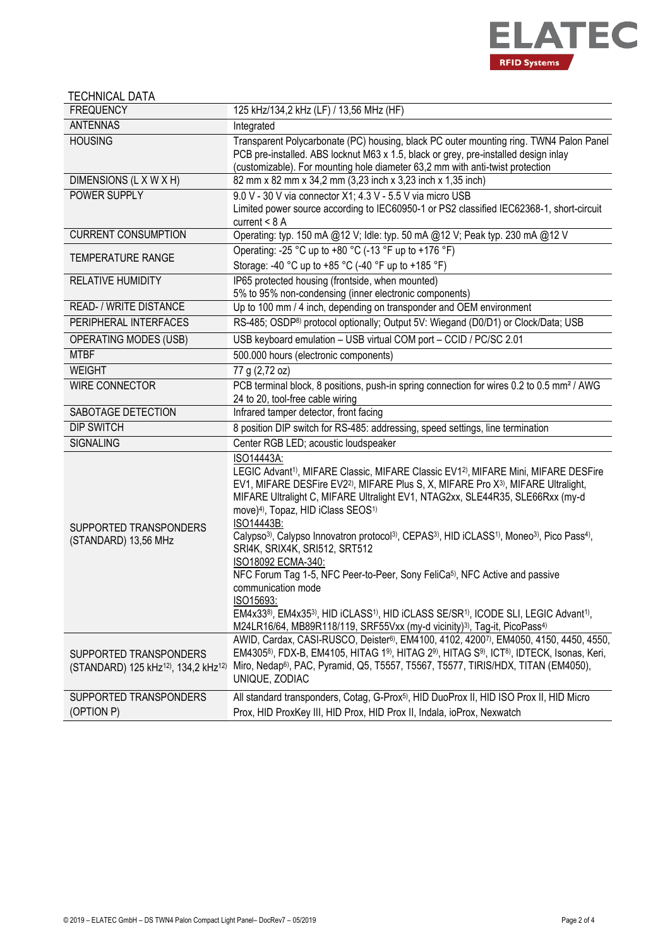

| TECHNICAL DATA                                                                         |                                                                                                                                                                                                                                                                                                                                                                                                     |
|----------------------------------------------------------------------------------------|-----------------------------------------------------------------------------------------------------------------------------------------------------------------------------------------------------------------------------------------------------------------------------------------------------------------------------------------------------------------------------------------------------|
| <b>FREQUENCY</b>                                                                       | 125 kHz/134,2 kHz (LF) / 13,56 MHz (HF)                                                                                                                                                                                                                                                                                                                                                             |
| <b>ANTENNAS</b>                                                                        | Integrated                                                                                                                                                                                                                                                                                                                                                                                          |
| <b>HOUSING</b>                                                                         | Transparent Polycarbonate (PC) housing, black PC outer mounting ring. TWN4 Palon Panel<br>PCB pre-installed. ABS locknut M63 x 1.5, black or grey, pre-installed design inlay<br>(customizable). For mounting hole diameter 63,2 mm with anti-twist protection                                                                                                                                      |
| DIMENSIONS (L X W X H)                                                                 | 82 mm x 82 mm x 34,2 mm (3,23 inch x 3,23 inch x 1,35 inch)                                                                                                                                                                                                                                                                                                                                         |
| POWER SUPPLY                                                                           | 9.0 V - 30 V via connector X1; 4.3 V - 5.5 V via micro USB<br>Limited power source according to IEC60950-1 or PS2 classified IEC62368-1, short-circuit<br>current $< 8$ A                                                                                                                                                                                                                           |
| <b>CURRENT CONSUMPTION</b>                                                             | Operating: typ. 150 mA @12 V; Idle: typ. 50 mA @12 V; Peak typ. 230 mA @12 V                                                                                                                                                                                                                                                                                                                        |
| <b>TEMPERATURE RANGE</b>                                                               | Operating: -25 °C up to +80 °C (-13 °F up to +176 °F)<br>Storage: -40 °C up to +85 °C (-40 °F up to +185 °F)                                                                                                                                                                                                                                                                                        |
| <b>RELATIVE HUMIDITY</b>                                                               | IP65 protected housing (frontside, when mounted)<br>5% to 95% non-condensing (inner electronic components)                                                                                                                                                                                                                                                                                          |
| <b>READ-/WRITE DISTANCE</b>                                                            | Up to 100 mm / 4 inch, depending on transponder and OEM environment                                                                                                                                                                                                                                                                                                                                 |
| PERIPHERAL INTERFACES                                                                  | RS-485; OSDP <sup>8)</sup> protocol optionally; Output 5V: Wiegand (D0/D1) or Clock/Data; USB                                                                                                                                                                                                                                                                                                       |
| <b>OPERATING MODES (USB)</b>                                                           | USB keyboard emulation - USB virtual COM port - CCID / PC/SC 2.01                                                                                                                                                                                                                                                                                                                                   |
| <b>MTBF</b>                                                                            | 500.000 hours (electronic components)                                                                                                                                                                                                                                                                                                                                                               |
| <b>WEIGHT</b>                                                                          | 77 g (2,72 oz)                                                                                                                                                                                                                                                                                                                                                                                      |
| WIRE CONNECTOR                                                                         | PCB terminal block, 8 positions, push-in spring connection for wires 0.2 to 0.5 mm <sup>2</sup> / AWG<br>24 to 20, tool-free cable wiring                                                                                                                                                                                                                                                           |
| SABOTAGE DETECTION                                                                     | Infrared tamper detector, front facing                                                                                                                                                                                                                                                                                                                                                              |
| <b>DIP SWITCH</b>                                                                      | 8 position DIP switch for RS-485: addressing, speed settings, line termination                                                                                                                                                                                                                                                                                                                      |
| <b>SIGNALING</b>                                                                       | Center RGB LED; acoustic loudspeaker                                                                                                                                                                                                                                                                                                                                                                |
| SUPPORTED TRANSPONDERS                                                                 | ISO14443A:<br>LEGIC Advant <sup>1)</sup> , MIFARE Classic, MIFARE Classic EV1 <sup>2</sup> ), MIFARE Mini, MIFARE DESFire<br>EV1, MIFARE DESFire EV2 <sup>2)</sup> , MIFARE Plus S, X, MIFARE Pro X <sup>3)</sup> , MIFARE Ultralight,<br>MIFARE Ultralight C, MIFARE Ultralight EV1, NTAG2xx, SLE44R35, SLE66Rxx (my-d<br>move) <sup>4)</sup> , Topaz, HID iClass SEOS <sup>1)</sup><br>ISO14443B: |
| (STANDARD) 13,56 MHz                                                                   | Calypso <sup>3)</sup> , Calypso Innovatron protocol <sup>3)</sup> , CEPAS <sup>3)</sup> , HID iCLASS <sup>1)</sup> , Moneo <sup>3)</sup> , Pico Pass <sup>4)</sup> ,<br>SRI4K, SRIX4K, SRI512, SRT512<br>ISO18092 ECMA-340:                                                                                                                                                                         |
|                                                                                        | NFC Forum Tag 1-5, NFC Peer-to-Peer, Sony FeliCa <sup>5)</sup> , NFC Active and passive<br>communication mode<br>ISO15693:                                                                                                                                                                                                                                                                          |
|                                                                                        | EM4x338), EM4x353), HID iCLASS <sup>1)</sup> , HID iCLASS SE/SR <sup>1)</sup> , ICODE SLI, LEGIC Advant <sup>1)</sup> ,<br>M24LR16/64, MB89R118/119, SRF55Vxx (my-d vicinity) <sup>3)</sup> , Tag-it, PicoPass <sup>4)</sup>                                                                                                                                                                        |
| SUPPORTED TRANSPONDERS<br>(STANDARD) 125 kHz <sup>12)</sup> , 134,2 kHz <sup>12)</sup> | AWID, Cardax, CASI-RUSCO, Deister <sup>6</sup> ), EM4100, 4102, 4200 <sup>7</sup> ), EM4050, 4150, 4450, 4550,<br>EM43058), FDX-B, EM4105, HITAG 19), HITAG 29), HITAG S9), ICT8), IDTECK, Isonas, Keri,<br>Miro, Nedap <sup>6)</sup> , PAC, Pyramid, Q5, T5557, T5567, T5577, TIRIS/HDX, TITAN (EM4050),<br>UNIQUE, ZODIAC                                                                         |
| SUPPORTED TRANSPONDERS<br>(OPTION P)                                                   | All standard transponders, Cotag, G-Prox <sup>5)</sup> , HID DuoProx II, HID ISO Prox II, HID Micro<br>Prox, HID ProxKey III, HID Prox, HID Prox II, Indala, ioProx, Nexwatch                                                                                                                                                                                                                       |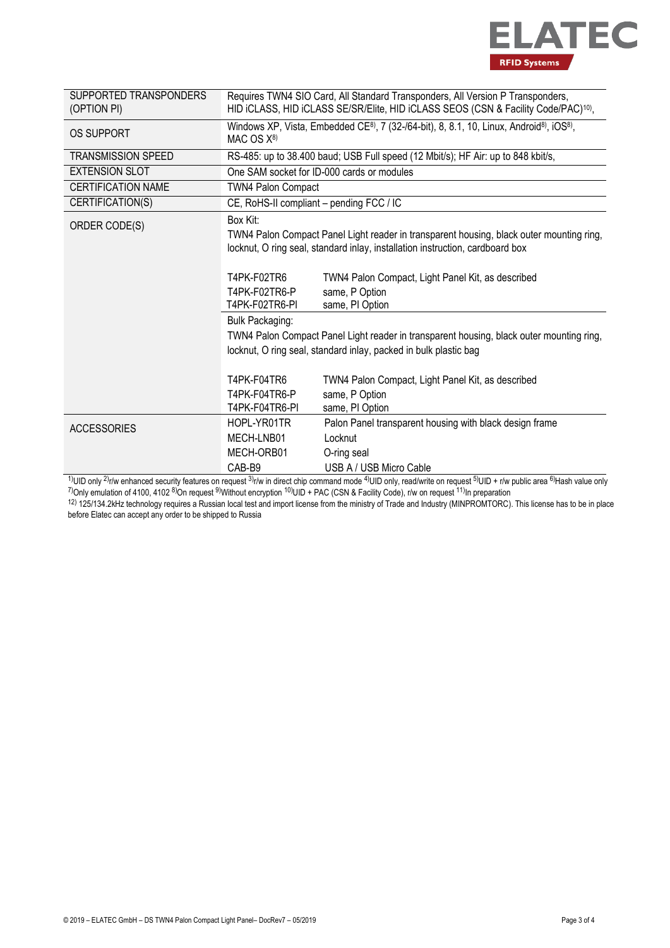

| SUPPORTED TRANSPONDERS<br>(OPTION PI)        | Requires TWN4 SIO Card, All Standard Transponders, All Version P Transponders,<br>HID iCLASS, HID iCLASS SE/SR/Elite, HID iCLASS SEOS (CSN & Facility Code/PAC) <sup>10)</sup> , |                                                                                                                                                                           |  |  |  |  |
|----------------------------------------------|----------------------------------------------------------------------------------------------------------------------------------------------------------------------------------|---------------------------------------------------------------------------------------------------------------------------------------------------------------------------|--|--|--|--|
| <b>OS SUPPORT</b>                            | Windows XP, Vista, Embedded CE <sup>8)</sup> , 7 (32-/64-bit), 8, 8.1, 10, Linux, Android <sup>8)</sup> , iOS <sup>8)</sup> ,<br>MAC OS X <sup>8)</sup>                          |                                                                                                                                                                           |  |  |  |  |
| <b>TRANSMISSION SPEED</b>                    | RS-485: up to 38.400 baud; USB Full speed (12 Mbit/s); HF Air: up to 848 kbit/s,                                                                                                 |                                                                                                                                                                           |  |  |  |  |
| <b>EXTENSION SLOT</b>                        | One SAM socket for ID-000 cards or modules                                                                                                                                       |                                                                                                                                                                           |  |  |  |  |
| <b>CERTIFICATION NAME</b>                    | <b>TWN4 Palon Compact</b>                                                                                                                                                        |                                                                                                                                                                           |  |  |  |  |
| CERTIFICATION(S)                             | CE, RoHS-II compliant - pending FCC / IC                                                                                                                                         |                                                                                                                                                                           |  |  |  |  |
| ORDER CODE(S)                                | Box Kit:                                                                                                                                                                         | TWN4 Palon Compact Panel Light reader in transparent housing, black outer mounting ring,<br>locknut, O ring seal, standard inlay, installation instruction, cardboard box |  |  |  |  |
|                                              | T4PK-F02TR6                                                                                                                                                                      | TWN4 Palon Compact, Light Panel Kit, as described                                                                                                                         |  |  |  |  |
|                                              | T4PK-F02TR6-P                                                                                                                                                                    | same, P Option                                                                                                                                                            |  |  |  |  |
|                                              | T4PK-F02TR6-PI                                                                                                                                                                   | same, PI Option                                                                                                                                                           |  |  |  |  |
|                                              | Bulk Packaging:                                                                                                                                                                  |                                                                                                                                                                           |  |  |  |  |
|                                              | TWN4 Palon Compact Panel Light reader in transparent housing, black outer mounting ring,<br>locknut, O ring seal, standard inlay, packed in bulk plastic bag                     |                                                                                                                                                                           |  |  |  |  |
|                                              |                                                                                                                                                                                  |                                                                                                                                                                           |  |  |  |  |
|                                              | T4PK-F04TR6                                                                                                                                                                      | TWN4 Palon Compact, Light Panel Kit, as described                                                                                                                         |  |  |  |  |
|                                              | T4PK-F04TR6-P<br>T4PK-F04TR6-PI                                                                                                                                                  | same, P Option<br>same, PI Option                                                                                                                                         |  |  |  |  |
| <b>ACCESSORIES</b>                           | HOPL-YR01TR                                                                                                                                                                      | Palon Panel transparent housing with black design frame                                                                                                                   |  |  |  |  |
|                                              | MECH-LNB01                                                                                                                                                                       | Locknut                                                                                                                                                                   |  |  |  |  |
|                                              | MECH-ORB01                                                                                                                                                                       | O-ring seal                                                                                                                                                               |  |  |  |  |
| $11.117.221.222.2222.2322.2422.242.242.242.$ | CAB-B9<br>لمناصر للمناج المتحدثات المتارين فالمراكبة                                                                                                                             | USB A / USB Micro Cable<br>والمناجب واحجا الأفاجعة والمارية بالماري واللاكية<br>المستشر والمستور والمستحدا الألف والمستور المستور                                         |  |  |  |  |

<sup>1)</sup>UID only <sup>2</sup>)r/w enhanced security features on request <sup>3)</sup>r/w in direct chip command mode <sup>4)</sup>UID only, read/write on request <sup>5)</sup>UID + r/w public area <sup>6)</sup>Hash value only <sup>7)</sup>Only emulation of 4100, 4102 <sup>8)</sup>On request <sup>9)</sup>Without encryption <sup>10)</sup>UID + PAC (CSN & Facility Code), r/w on request <sup>11)</sup>In preparation

<sup>12)</sup> 125/134.2kHz technology requires a Russian local test and import license from the ministry of Trade and Industry (MINPROMTORC). This license has to be in place before Elatec can accept any order to be shipped to Russia